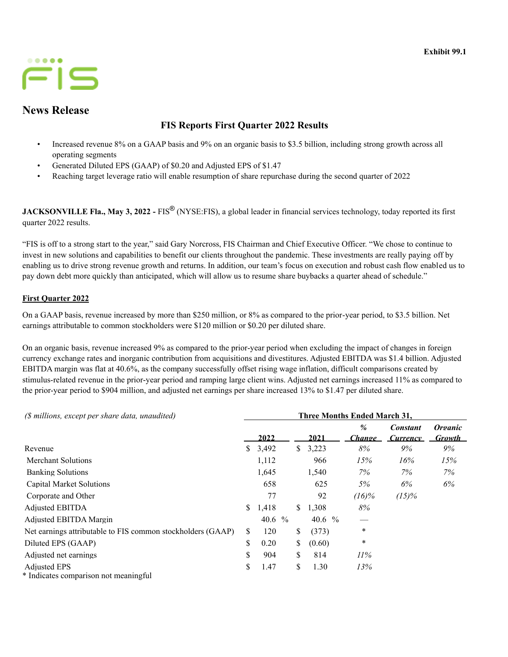

# **News Release**

# **FIS Reports First Quarter 2022 Results**

- Increased revenue 8% on a GAAP basis and 9% on an organic basis to \$3.5 billion, including strong growth across all operating segments
- Generated Diluted EPS (GAAP) of \$0.20 and Adjusted EPS of \$1.47
- Reaching target leverage ratio will enable resumption of share repurchase during the second quarter of 2022

**JACKSONVILLE Fla., May 3, 2022 -** FIS<sup>®</sup> (NYSE:FIS), a global leader in financial services technology, today reported its first quarter 2022 results.

"FIS is off to a strong start to the year," said Gary Norcross, FIS Chairman and Chief Executive Officer. "We chose to continue to invest in new solutions and capabilities to benefit our clients throughout the pandemic. These investments are really paying off by enabling us to drive strong revenue growth and returns. In addition, our team's focus on execution and robust cash flow enabled us to pay down debt more quickly than anticipated, which will allow us to resume share buybacks a quarter ahead of schedule."

# **First Quarter 2022**

On a GAAP basis, revenue increased by more than \$250 million, or 8% as compared to the prior-year period, to \$3.5 billion. Net earnings attributable to common stockholders were \$120 million or \$0.20 per diluted share.

On an organic basis, revenue increased 9% as compared to the prior-year period when excluding the impact of changes in foreign currency exchange rates and inorganic contribution from acquisitions and divestitures. Adjusted EBITDA was \$1.4 billion. Adjusted EBITDA margin was flat at 40.6%, as the company successfully offset rising wage inflation, difficult comparisons created by stimulus-related revenue in the prior-year period and ramping large client wins. Adjusted net earnings increased 11% as compared to the prior-year period to \$904 million, and adjusted net earnings per share increased 13% to \$1.47 per diluted share.

| (\$ millions, except per share data, unaudited)              | Three Months Ended March 31, |                    |  |    |           |                         |                             |                                        |  |  |  |  |  |
|--------------------------------------------------------------|------------------------------|--------------------|--|----|-----------|-------------------------|-----------------------------|----------------------------------------|--|--|--|--|--|
|                                                              |                              | 2022               |  |    | 2021      | $\frac{9}{6}$<br>Change | <b>Constant</b><br>Currency | <i><b>Organic</b></i><br><b>Growth</b> |  |  |  |  |  |
| Revenue                                                      | S.                           | 3,492              |  | \$ | 3,223     | 8%                      | 9%                          | 9%                                     |  |  |  |  |  |
| Merchant Solutions                                           |                              | 1,112              |  |    | 966       | 15%                     | 16%                         | 15%                                    |  |  |  |  |  |
| <b>Banking Solutions</b>                                     |                              | 1,645              |  |    | 1,540     | 7%                      | $7\%$                       | 7%                                     |  |  |  |  |  |
| Capital Market Solutions                                     |                              | 658                |  |    | 625       | 5%                      | 6%                          | 6%                                     |  |  |  |  |  |
| Corporate and Other                                          |                              | 77                 |  |    | 92        | $(16)\%$                | $(15)\%$                    |                                        |  |  |  |  |  |
| Adjusted EBITDA                                              | S.                           | 1,418              |  | S. | 1,308     | 8%                      |                             |                                        |  |  |  |  |  |
| Adjusted EBITDA Margin                                       |                              | 40.6 $\frac{9}{6}$ |  |    | 40.6 $\%$ |                         |                             |                                        |  |  |  |  |  |
| Net earnings attributable to FIS common stockholders (GAAP)  | S.                           | 120                |  | \$ | (373)     | $\ast$                  |                             |                                        |  |  |  |  |  |
| Diluted EPS (GAAP)                                           | \$                           | 0.20               |  | \$ | (0.60)    | $\ast$                  |                             |                                        |  |  |  |  |  |
| Adjusted net earnings                                        | \$                           | 904                |  | \$ | 814       | $11\%$                  |                             |                                        |  |  |  |  |  |
| <b>Adjusted EPS</b><br>* Indicates comparison not meaningful | \$                           | 1.47               |  | \$ | 1.30      | 13%                     |                             |                                        |  |  |  |  |  |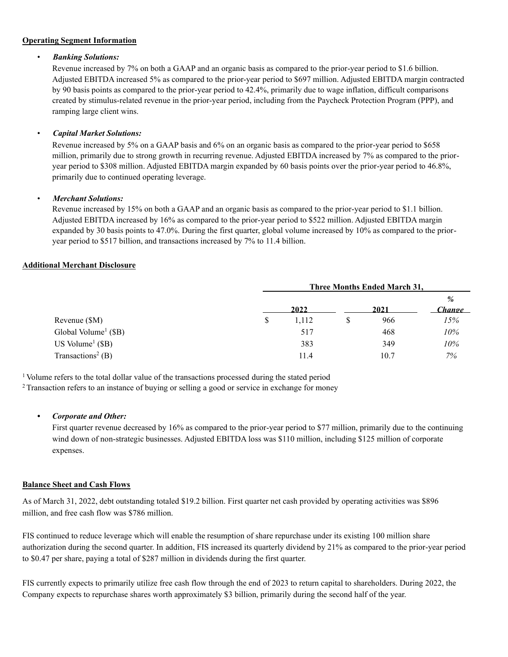### **Operating Segment Information**

### • *Banking Solutions:*

Revenue increased by 7% on both a GAAP and an organic basis as compared to the prior-year period to \$1.6 billion. Adjusted EBITDA increased 5% as compared to the prior-year period to \$697 million. Adjusted EBITDA margin contracted by 90 basis points as compared to the prior-year period to 42.4%, primarily due to wage inflation, difficult comparisons created by stimulus-related revenue in the prior-year period, including from the Paycheck Protection Program (PPP), and ramping large client wins.

### • *Capital Market Solutions:*

Revenue increased by 5% on a GAAP basis and 6% on an organic basis as compared to the prior-year period to \$658 million, primarily due to strong growth in recurring revenue. Adjusted EBITDA increased by 7% as compared to the prioryear period to \$308 million. Adjusted EBITDA margin expanded by 60 basis points over the prior-year period to 46.8%, primarily due to continued operating leverage.

### • *Merchant Solutions:*

Revenue increased by 15% on both a GAAP and an organic basis as compared to the prior-year period to \$1.1 billion. Adjusted EBITDA increased by 16% as compared to the prior-year period to \$522 million. Adjusted EBITDA margin expanded by 30 basis points to 47.0%. During the first quarter, global volume increased by 10% as compared to the prioryear period to \$517 billion, and transactions increased by 7% to 11.4 billion.

# **Additional Merchant Disclosure**

|                                     | Three Months Ended March 31, |      |      |                  |  |  |
|-------------------------------------|------------------------------|------|------|------------------|--|--|
|                                     |                              |      |      | $\%$             |  |  |
|                                     | 2022                         | 2021 |      | <u>Change - </u> |  |  |
| Revenue (\$M)                       | \$<br>1,112                  | S    | 966  | 15%              |  |  |
| Global Volume <sup>1</sup> ( $$B$ ) | 517                          |      | 468  | 10%              |  |  |
| US Volume <sup>1</sup> $(SB)$       | 383                          |      | 349  | 10%              |  |  |
| Transactions <sup>2</sup> (B)       | 11.4                         |      | 10.7 | 7%               |  |  |

<sup>1</sup> Volume refers to the total dollar value of the transactions processed during the stated period

<sup>2</sup> Transaction refers to an instance of buying or selling a good or service in exchange for money

### *• Corporate and Other:*

First quarter revenue decreased by 16% as compared to the prior-year period to \$77 million, primarily due to the continuing wind down of non-strategic businesses. Adjusted EBITDA loss was \$110 million, including \$125 million of corporate expenses.

### **Balance Sheet and Cash Flows**

As of March 31, 2022, debt outstanding totaled \$19.2 billion. First quarter net cash provided by operating activities was \$896 million, and free cash flow was \$786 million.

FIS continued to reduce leverage which will enable the resumption of share repurchase under its existing 100 million share authorization during the second quarter. In addition, FIS increased its quarterly dividend by 21% as compared to the prior-year period to \$0.47 per share, paying a total of \$287 million in dividends during the first quarter.

FIS currently expects to primarily utilize free cash flow through the end of 2023 to return capital to shareholders. During 2022, the Company expects to repurchase shares worth approximately \$3 billion, primarily during the second half of the year.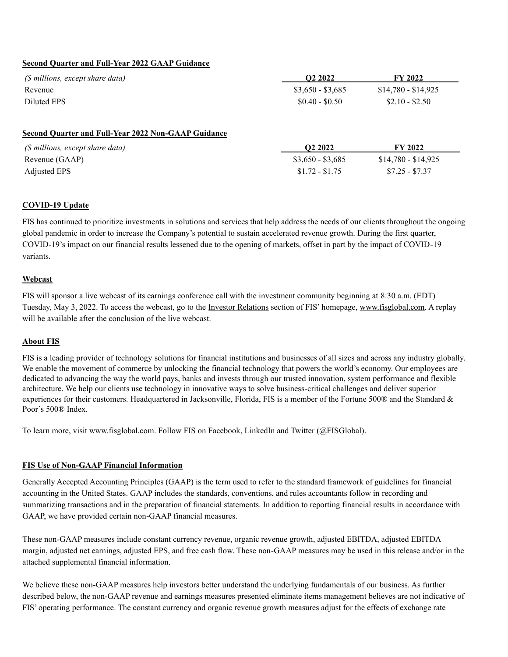### **Second Quarter and Full-Year 2022 GAAP Guidance**

| (\$ millions, except share data)                           | O <sub>2</sub> 2022 | <b>FY 2022</b>      |
|------------------------------------------------------------|---------------------|---------------------|
| Revenue                                                    | $$3,650 - $3,685$   | $$14,780 - $14,925$ |
| Diluted EPS                                                | $$0.40 - $0.50$     | $$2.10 - $2.50$     |
|                                                            |                     |                     |
| <b>Second Quarter and Full-Year 2022 Non-GAAP Guidance</b> |                     |                     |
| (\$ millions, except share data)                           | O <sub>2</sub> 2022 | <b>FY 2022</b>      |
| Revenue (GAAP)                                             | $$3,650 - $3,685$   | $$14,780 - $14,925$ |

### **COVID-19 Update**

FIS has continued to prioritize investments in solutions and services that help address the needs of our clients throughout the ongoing global pandemic in order to increase the Company's potential to sustain accelerated revenue growth. During the first quarter, COVID-19's impact on our financial results lessened due to the opening of markets, offset in part by the impact of COVID-19 variants.

#### **Webcast**

FIS will sponsor a live webcast of its earnings conference call with the investment community beginning at 8:30 a.m. (EDT) Tuesday, May 3, 2022. To access the webcast, go to the Investor Relations section of FIS' homepage, www.fisglobal.com. A replay will be available after the conclusion of the live webcast.

#### **About FIS**

FIS is a leading provider of technology solutions for financial institutions and businesses of all sizes and across any industry globally. We enable the movement of commerce by unlocking the financial technology that powers the world's economy. Our employees are dedicated to advancing the way the world pays, banks and invests through our trusted innovation, system performance and flexible architecture. We help our clients use technology in innovative ways to solve business-critical challenges and deliver superior experiences for their customers. Headquartered in Jacksonville, Florida, FIS is a member of the Fortune 500® and the Standard & Poor's 500® Index.

To learn more, visit www.fisglobal.com. Follow FIS on Facebook, LinkedIn and Twitter (@FISGlobal).

### **FIS Use of Non-GAAP Financial Information**

Generally Accepted Accounting Principles (GAAP) is the term used to refer to the standard framework of guidelines for financial accounting in the United States. GAAP includes the standards, conventions, and rules accountants follow in recording and summarizing transactions and in the preparation of financial statements. In addition to reporting financial results in accordance with GAAP, we have provided certain non-GAAP financial measures.

These non-GAAP measures include constant currency revenue, organic revenue growth, adjusted EBITDA, adjusted EBITDA margin, adjusted net earnings, adjusted EPS, and free cash flow. These non-GAAP measures may be used in this release and/or in the attached supplemental financial information.

We believe these non-GAAP measures help investors better understand the underlying fundamentals of our business. As further described below, the non-GAAP revenue and earnings measures presented eliminate items management believes are not indicative of FIS' operating performance. The constant currency and organic revenue growth measures adjust for the effects of exchange rate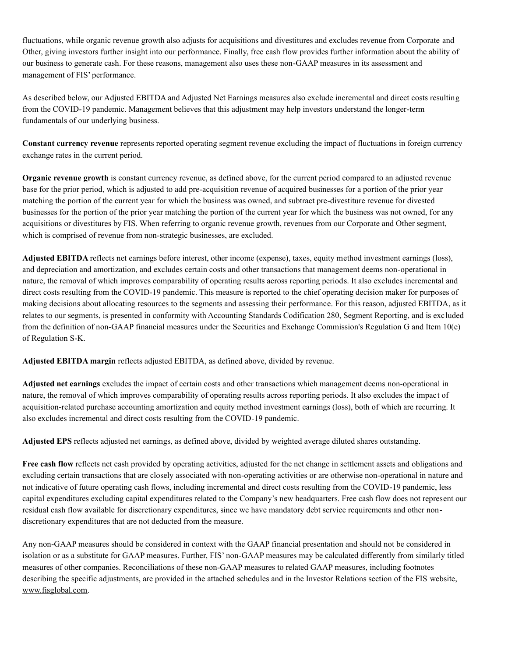fluctuations, while organic revenue growth also adjusts for acquisitions and divestitures and excludes revenue from Corporate and Other, giving investors further insight into our performance. Finally, free cash flow provides further information about the ability of our business to generate cash. For these reasons, management also uses these non-GAAP measures in its assessment and management of FIS' performance.

As described below, our Adjusted EBITDA and Adjusted Net Earnings measures also exclude incremental and direct costs resulting from the COVID-19 pandemic. Management believes that this adjustment may help investors understand the longer-term fundamentals of our underlying business.

**Constant currency revenue** represents reported operating segment revenue excluding the impact of fluctuations in foreign currency exchange rates in the current period.

**Organic revenue growth** is constant currency revenue, as defined above, for the current period compared to an adjusted revenue base for the prior period, which is adjusted to add pre-acquisition revenue of acquired businesses for a portion of the prior year matching the portion of the current year for which the business was owned, and subtract pre-divestiture revenue for divested businesses for the portion of the prior year matching the portion of the current year for which the business was not owned, for any acquisitions or divestitures by FIS. When referring to organic revenue growth, revenues from our Corporate and Other segment, which is comprised of revenue from non-strategic businesses, are excluded.

**Adjusted EBITDA** reflects net earnings before interest, other income (expense), taxes, equity method investment earnings (loss), and depreciation and amortization, and excludes certain costs and other transactions that management deems non-operational in nature, the removal of which improves comparability of operating results across reporting periods. It also excludes incremental and direct costs resulting from the COVID-19 pandemic. This measure is reported to the chief operating decision maker for purposes of making decisions about allocating resources to the segments and assessing their performance. For this reason, adjusted EBITDA, as it relates to our segments, is presented in conformity with Accounting Standards Codification 280, Segment Reporting, and is excluded from the definition of non-GAAP financial measures under the Securities and Exchange Commission's Regulation G and Item 10(e) of Regulation S-K.

**Adjusted EBITDA margin** reflects adjusted EBITDA, as defined above, divided by revenue.

**Adjusted net earnings** excludes the impact of certain costs and other transactions which management deems non-operational in nature, the removal of which improves comparability of operating results across reporting periods. It also excludes the impact of acquisition-related purchase accounting amortization and equity method investment earnings (loss), both of which are recurring. It also excludes incremental and direct costs resulting from the COVID-19 pandemic.

**Adjusted EPS** reflects adjusted net earnings, as defined above, divided by weighted average diluted shares outstanding.

**Free cash flow** reflects net cash provided by operating activities, adjusted for the net change in settlement assets and obligations and excluding certain transactions that are closely associated with non-operating activities or are otherwise non-operational in nature and not indicative of future operating cash flows, including incremental and direct costs resulting from the COVID-19 pandemic, less capital expenditures excluding capital expenditures related to the Company's new headquarters. Free cash flow does not represent our residual cash flow available for discretionary expenditures, since we have mandatory debt service requirements and other nondiscretionary expenditures that are not deducted from the measure.

Any non-GAAP measures should be considered in context with the GAAP financial presentation and should not be considered in isolation or as a substitute for GAAP measures. Further, FIS' non-GAAP measures may be calculated differently from similarly titled measures of other companies. Reconciliations of these non-GAAP measures to related GAAP measures, including footnotes describing the specific adjustments, are provided in the attached schedules and in the Investor Relations section of the FIS website, www.fisglobal.com.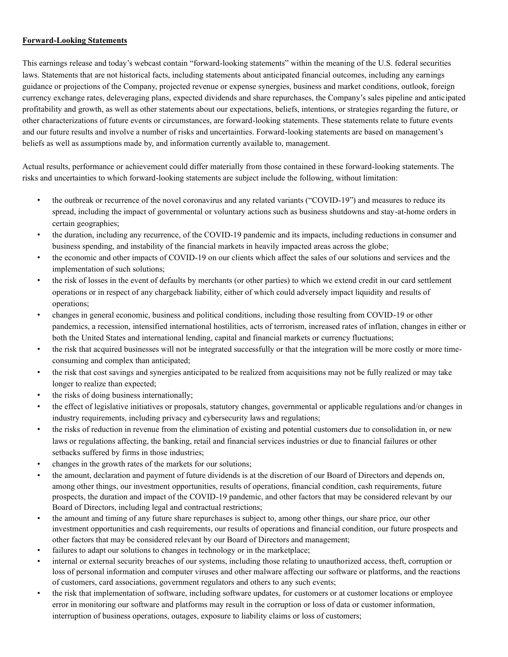### **Forward-Looking Statements**

This earnings release and today's webcast contain "forward-looking statements" within the meaning of the U.S. federal securities laws. Statements that are not historical facts, including statements about anticipated financial outcomes, including any earnings guidance or projections of the Company, projected revenue or expense synergies, business and market conditions, outlook, foreign currency exchange rates, deleveraging plans, expected dividends and share repurchases, the Company's sales pipeline and anticipated profitability and growth, as well as other statements about our expectations, beliefs, intentions, or strategies regarding the future, or other characterizations of future events or circumstances, are forward-looking statements. These statements relate to future events and our future results and involve a number of risks and uncertainties. Forward-looking statements are based on management's beliefs as well as assumptions made by, and information currently available to, management.

Actual results, performance or achievement could differ materially from those contained in these forward-looking statements. The risks and uncertainties to which forward-looking statements are subject include the following, without limitation:

- the outbreak or recurrence of the novel coronavirus and any related variants ("COVID-19") and measures to reduce its spread, including the impact of governmental or voluntary actions such as business shutdowns and stay-at-home orders in certain geographies;
- the duration, including any recurrence, of the COVID-19 pandemic and its impacts, including reductions in consumer and business spending, and instability of the financial markets in heavily impacted areas across the globe;
- the economic and other impacts of COVID-19 on our clients which affect the sales of our solutions and services and the implementation of such solutions;
- the risk of losses in the event of defaults by merchants (or other parties) to which we extend credit in our card settlement operations or in respect of any chargeback liability, either of which could adversely impact liquidity and results of operations;
- changes in general economic, business and political conditions, including those resulting from COVID-19 or other pandemics, a recession, intensified international hostilities, acts of terrorism, increased rates of inflation, changes in either or both the United States and international lending, capital and financial markets or currency fluctuations;
- the risk that acquired businesses will not be integrated successfully or that the integration will be more costly or more timeconsuming and complex than anticipated;
- the risk that cost savings and synergies anticipated to be realized from acquisitions may not be fully realized or may take longer to realize than expected;
- the risks of doing business internationally;
- the effect of legislative initiatives or proposals, statutory changes, governmental or applicable regulations and/or changes in industry requirements, including privacy and cybersecurity laws and regulations;
- the risks of reduction in revenue from the elimination of existing and potential customers due to consolidation in, or new laws or regulations affecting, the banking, retail and financial services industries or due to financial failures or other setbacks suffered by firms in those industries;
- changes in the growth rates of the markets for our solutions;
- the amount, declaration and payment of future dividends is at the discretion of our Board of Directors and depends on, among other things, our investment opportunities, results of operations, financial condition, cash requirements, future prospects, the duration and impact of the COVID-19 pandemic, and other factors that may be considered relevant by our Board of Directors, including legal and contractual restrictions;
- the amount and timing of any future share repurchases is subject to, among other things, our share price, our other investment opportunities and cash requirements, our results of operations and financial condition, our future prospects and other factors that may be considered relevant by our Board of Directors and management;
- failures to adapt our solutions to changes in technology or in the marketplace;
- internal or external security breaches of our systems, including those relating to unauthorized access, theft, corruption or loss of personal information and computer viruses and other malware affecting our software or platforms, and the reactions of customers, card associations, government regulators and others to any such events;
- the risk that implementation of software, including software updates, for customers or at customer locations or employee error in monitoring our software and platforms may result in the corruption or loss of data or customer information, interruption of business operations, outages, exposure to liability claims or loss of customers;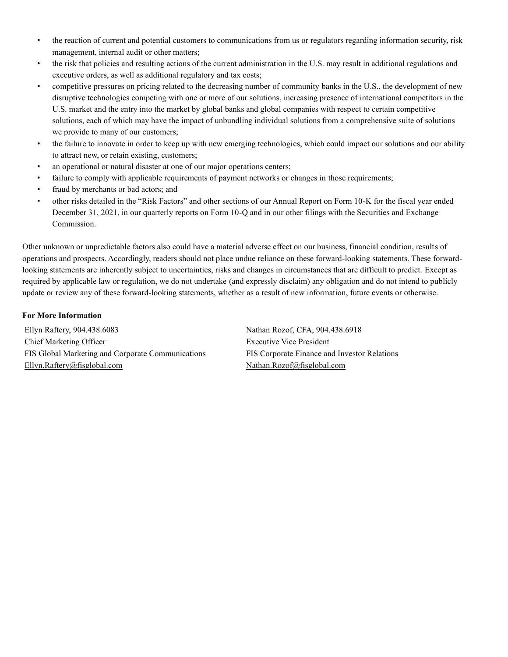- the reaction of current and potential customers to communications from us or regulators regarding information security, risk management, internal audit or other matters;
- the risk that policies and resulting actions of the current administration in the U.S. may result in additional regulations and executive orders, as well as additional regulatory and tax costs;
- competitive pressures on pricing related to the decreasing number of community banks in the U.S., the development of new disruptive technologies competing with one or more of our solutions, increasing presence of international competitors in the U.S. market and the entry into the market by global banks and global companies with respect to certain competitive solutions, each of which may have the impact of unbundling individual solutions from a comprehensive suite of solutions we provide to many of our customers;
- the failure to innovate in order to keep up with new emerging technologies, which could impact our solutions and our ability to attract new, or retain existing, customers;
- an operational or natural disaster at one of our major operations centers;
- failure to comply with applicable requirements of payment networks or changes in those requirements;
- fraud by merchants or bad actors; and
- other risks detailed in the "Risk Factors" and other sections of our Annual Report on Form 10-K for the fiscal year ended December 31, 2021, in our quarterly reports on Form 10-Q and in our other filings with the Securities and Exchange Commission.

Other unknown or unpredictable factors also could have a material adverse effect on our business, financial condition, results of operations and prospects. Accordingly, readers should not place undue reliance on these forward-looking statements. These forwardlooking statements are inherently subject to uncertainties, risks and changes in circumstances that are difficult to predict. Except as required by applicable law or regulation, we do not undertake (and expressly disclaim) any obligation and do not intend to publicly update or review any of these forward-looking statements, whether as a result of new information, future events or otherwise.

### **For More Information**

Ellyn Raftery, 904.438.6083 Nathan Rozof, CFA, 904.438.6918 Chief Marketing Officer **Executive Vice President** Executive Vice President FIS Global Marketing and Corporate Communications FIS Corporate Finance and Investor Relations Ellyn.Raftery@fisglobal.com Nathan.Rozof@fisglobal.com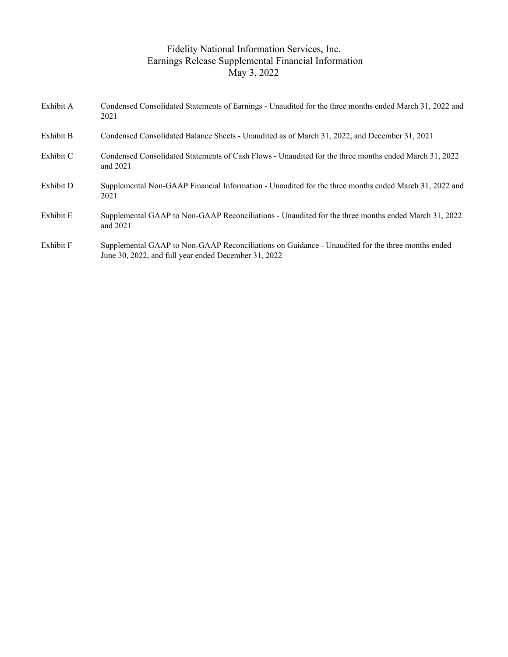# Fidelity National Information Services, Inc. Earnings Release Supplemental Financial Information May 3, 2022

| Exhibit A | Condensed Consolidated Statements of Earnings - Unaudited for the three months ended March 31, 2022 and<br>2021                                          |
|-----------|----------------------------------------------------------------------------------------------------------------------------------------------------------|
| Exhibit B | Condensed Consolidated Balance Sheets - Unaudited as of March 31, 2022, and December 31, 2021                                                            |
| Exhibit C | Condensed Consolidated Statements of Cash Flows - Unaudited for the three months ended March 31, 2022<br>and 2021                                        |
| Exhibit D | Supplemental Non-GAAP Financial Information - Unaudited for the three months ended March 31, 2022 and<br>2021                                            |
| Exhibit E | Supplemental GAAP to Non-GAAP Reconciliations - Unaudited for the three months ended March 31, 2022<br>and $2021$                                        |
| Exhibit F | Supplemental GAAP to Non-GAAP Reconciliations on Guidance - Unaudited for the three months ended<br>June 30, 2022, and full year ended December 31, 2022 |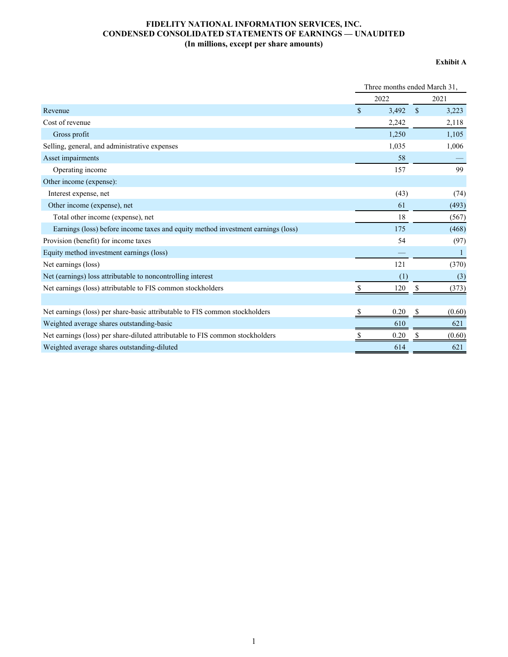# **FIDELITY NATIONAL INFORMATION SERVICES, INC. CONDENSED CONSOLIDATED STATEMENTS OF EARNINGS — UNAUDITED (In millions, except per share amounts)**

#### **Exhibit A**

|                                                                                  | Three months ended March 31, |              |  |  |  |  |
|----------------------------------------------------------------------------------|------------------------------|--------------|--|--|--|--|
|                                                                                  | 2022                         | 2021         |  |  |  |  |
| Revenue                                                                          | $\mathbf S$<br>3,492         | \$<br>3,223  |  |  |  |  |
| Cost of revenue                                                                  | 2,242                        | 2,118        |  |  |  |  |
| Gross profit                                                                     | 1,250                        | 1,105        |  |  |  |  |
| Selling, general, and administrative expenses                                    | 1,035                        | 1,006        |  |  |  |  |
| Asset impairments                                                                | 58                           |              |  |  |  |  |
| Operating income                                                                 | 157                          | 99           |  |  |  |  |
| Other income (expense):                                                          |                              |              |  |  |  |  |
| Interest expense, net                                                            | (43)                         | (74)         |  |  |  |  |
| Other income (expense), net                                                      | 61                           | (493)        |  |  |  |  |
| Total other income (expense), net                                                | 18                           | (567)        |  |  |  |  |
| Earnings (loss) before income taxes and equity method investment earnings (loss) | 175                          | (468)        |  |  |  |  |
| Provision (benefit) for income taxes                                             | 54                           | (97)         |  |  |  |  |
| Equity method investment earnings (loss)                                         |                              | $\mathbf{1}$ |  |  |  |  |
| Net earnings (loss)                                                              | 121                          | (370)        |  |  |  |  |
| Net (earnings) loss attributable to noncontrolling interest                      | (1)                          | (3)          |  |  |  |  |
| Net earnings (loss) attributable to FIS common stockholders                      | 120                          | (373)        |  |  |  |  |
|                                                                                  |                              |              |  |  |  |  |
| Net earnings (loss) per share-basic attributable to FIS common stockholders      | 0.20                         | (0.60)       |  |  |  |  |
| Weighted average shares outstanding-basic                                        | 610                          | 621          |  |  |  |  |
| Net earnings (loss) per share-diluted attributable to FIS common stockholders    | 0.20                         | (0.60)       |  |  |  |  |
| Weighted average shares outstanding-diluted                                      | 614                          | 621          |  |  |  |  |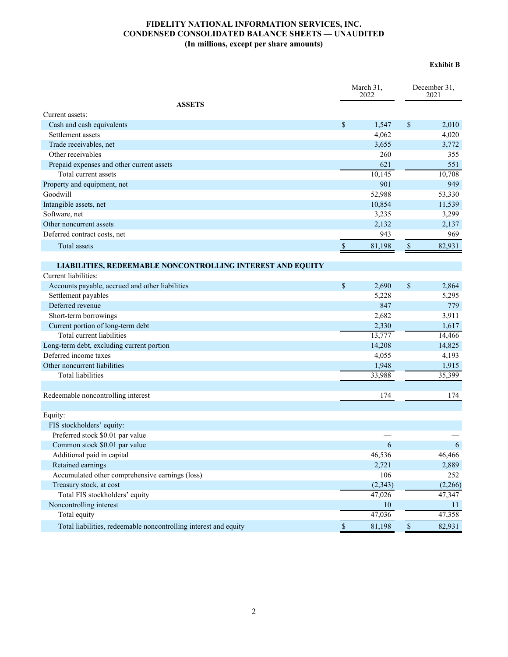# **FIDELITY NATIONAL INFORMATION SERVICES, INC. CONDENSED CONSOLIDATED BALANCE SHEETS — UNAUDITED (In millions, except per share amounts)**

#### **Exhibit B**

|                                                                   |               | March 31,<br>2022 | December 31.<br>2021 |         |  |
|-------------------------------------------------------------------|---------------|-------------------|----------------------|---------|--|
| <b>ASSETS</b>                                                     |               |                   |                      |         |  |
| Current assets:                                                   |               |                   |                      |         |  |
| Cash and cash equivalents                                         | \$            | 1,547             | \$                   | 2,010   |  |
| Settlement assets                                                 |               | 4,062             |                      | 4,020   |  |
| Trade receivables, net                                            |               | 3,655             |                      | 3,772   |  |
| Other receivables                                                 |               | 260               |                      | 355     |  |
| Prepaid expenses and other current assets                         |               | 621               |                      | 551     |  |
| Total current assets                                              |               | 10,145            |                      | 10,708  |  |
| Property and equipment, net                                       |               | 901               |                      | 949     |  |
| Goodwill                                                          |               | 52,988            |                      | 53,330  |  |
| Intangible assets, net                                            |               | 10,854            |                      | 11,539  |  |
| Software, net                                                     |               | 3,235             |                      | 3,299   |  |
| Other noncurrent assets                                           |               | 2,132             |                      | 2,137   |  |
| Deferred contract costs, net                                      |               | 943               |                      | 969     |  |
| Total assets                                                      | $\mathbb S$   | 81,198            | $\mathbb{S}$         | 82,931  |  |
| <b>LIABILITIES, REDEEMABLE NONCONTROLLING INTEREST AND EQUITY</b> |               |                   |                      |         |  |
| Current liabilities:                                              |               |                   |                      |         |  |
| Accounts payable, accrued and other liabilities                   | \$            | 2,690             | \$                   | 2,864   |  |
| Settlement payables                                               |               | 5,228             |                      | 5,295   |  |
| Deferred revenue                                                  |               | 847               |                      | 779     |  |
| Short-term borrowings                                             |               | 2,682             |                      | 3,911   |  |
| Current portion of long-term debt                                 |               | 2,330             |                      | 1,617   |  |
| Total current liabilities                                         |               | 13,777            |                      | 14,466  |  |
| Long-term debt, excluding current portion                         |               | 14,208            |                      | 14,825  |  |
| Deferred income taxes                                             |               | 4,055             |                      | 4,193   |  |
| Other noncurrent liabilities                                      |               | 1,948             |                      | 1,915   |  |
| <b>Total liabilities</b>                                          |               | 33,988            |                      | 35,399  |  |
|                                                                   |               |                   |                      |         |  |
| Redeemable noncontrolling interest                                |               | 174               |                      | 174     |  |
| Equity:                                                           |               |                   |                      |         |  |
| FIS stockholders' equity:                                         |               |                   |                      |         |  |
| Preferred stock \$0.01 par value                                  |               |                   |                      |         |  |
| Common stock \$0.01 par value                                     |               | 6                 |                      | 6       |  |
| Additional paid in capital                                        |               | 46,536            |                      | 46,466  |  |
| Retained earnings                                                 |               | 2,721             |                      | 2,889   |  |
| Accumulated other comprehensive earnings (loss)                   |               | 106               |                      | 252     |  |
| Treasury stock, at cost                                           |               | (2, 343)          |                      | (2,266) |  |
| Total FIS stockholders' equity                                    |               | 47,026            |                      | 47,347  |  |
| Noncontrolling interest                                           |               | 10                |                      | 11      |  |
| Total equity                                                      |               | 47,036            |                      | 47,358  |  |
| Total liabilities, redeemable noncontrolling interest and equity  | <sup>\$</sup> | 81,198            | $\sqrt{\frac{2}{2}}$ | 82,931  |  |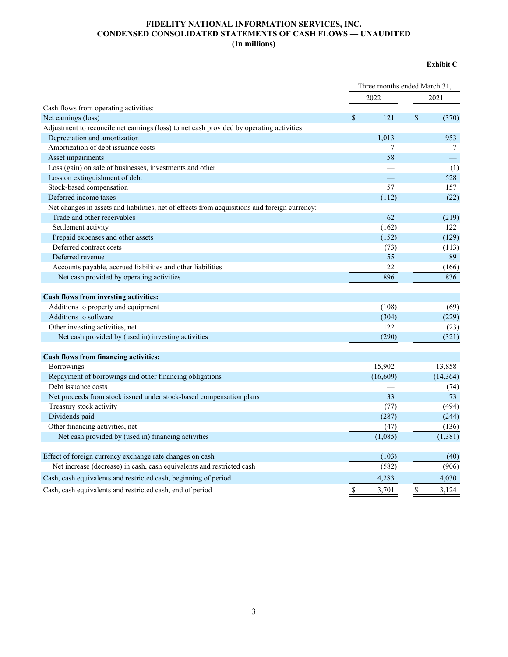### **FIDELITY NATIONAL INFORMATION SERVICES, INC. CONDENSED CONSOLIDATED STATEMENTS OF CASH FLOWS — UNAUDITED (In millions)**

### **Exhibit C**

|                                                                                               | Three months ended March 31, |          |             |           |
|-----------------------------------------------------------------------------------------------|------------------------------|----------|-------------|-----------|
|                                                                                               |                              | 2022     |             | 2021      |
| Cash flows from operating activities:                                                         |                              |          |             |           |
| Net earnings (loss)                                                                           | $\mathbf S$                  | 121      | $\mathbf S$ | (370)     |
| Adjustment to reconcile net earnings (loss) to net cash provided by operating activities:     |                              |          |             |           |
| Depreciation and amortization                                                                 |                              | 1,013    |             | 953       |
| Amortization of debt issuance costs                                                           |                              | 7        |             | 7         |
| Asset impairments                                                                             |                              | 58       |             |           |
| Loss (gain) on sale of businesses, investments and other                                      |                              |          |             | (1)       |
| Loss on extinguishment of debt                                                                |                              | —        |             | 528       |
| Stock-based compensation                                                                      |                              | 57       |             | 157       |
| Deferred income taxes                                                                         |                              | (112)    |             | (22)      |
| Net changes in assets and liabilities, net of effects from acquisitions and foreign currency: |                              |          |             |           |
| Trade and other receivables                                                                   |                              | 62       |             | (219)     |
| Settlement activity                                                                           |                              | (162)    |             | 122       |
| Prepaid expenses and other assets                                                             |                              | (152)    |             | (129)     |
| Deferred contract costs                                                                       |                              | (73)     |             | (113)     |
| Deferred revenue                                                                              |                              | 55       |             | 89        |
| Accounts payable, accrued liabilities and other liabilities                                   |                              | 22       |             | (166)     |
| Net cash provided by operating activities                                                     |                              | 896      |             | 836       |
|                                                                                               |                              |          |             |           |
| Cash flows from investing activities:<br>Additions to property and equipment                  |                              | (108)    |             | (69)      |
| Additions to software                                                                         |                              | (304)    |             |           |
|                                                                                               |                              |          |             | (229)     |
| Other investing activities, net                                                               |                              | 122      |             | (23)      |
| Net cash provided by (used in) investing activities                                           |                              | (290)    |             | (321)     |
| Cash flows from financing activities:                                                         |                              |          |             |           |
| Borrowings                                                                                    |                              | 15,902   |             | 13,858    |
| Repayment of borrowings and other financing obligations                                       |                              | (16,609) |             | (14, 364) |
| Debt issuance costs                                                                           |                              |          |             | (74)      |
| Net proceeds from stock issued under stock-based compensation plans                           |                              | 33       |             | 73        |
| Treasury stock activity                                                                       |                              | (77)     |             | (494)     |
| Dividends paid                                                                                |                              | (287)    |             | (244)     |
| Other financing activities, net                                                               |                              | (47)     |             | (136)     |
| Net cash provided by (used in) financing activities                                           |                              | (1,085)  |             | (1,381)   |
| Effect of foreign currency exchange rate changes on cash                                      |                              | (103)    |             | (40)      |
| Net increase (decrease) in cash, cash equivalents and restricted cash                         |                              | (582)    |             | (906)     |
| Cash, cash equivalents and restricted cash, beginning of period                               |                              | 4,283    |             | 4,030     |
| Cash, cash equivalents and restricted cash, end of period                                     | \$                           | 3,701    | \$          | 3,124     |
|                                                                                               |                              |          |             |           |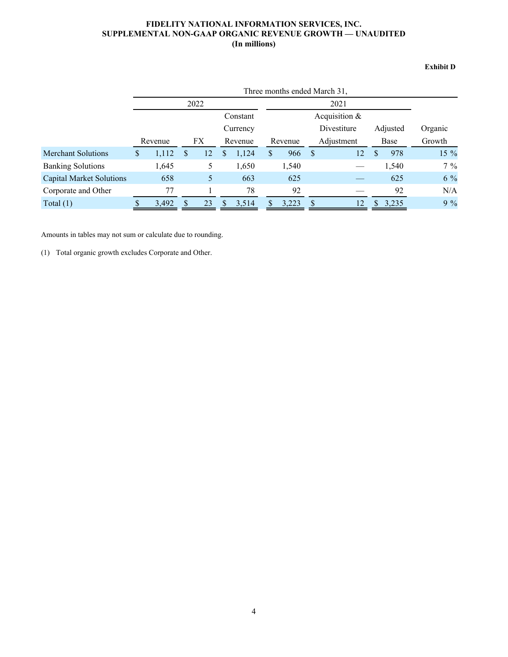# **FIDELITY NATIONAL INFORMATION SERVICES, INC. SUPPLEMENTAL NON-GAAP ORGANIC REVENUE GROWTH — UNAUDITED (In millions)**

#### **Exhibit D**

|                                 |   | Three months ended March 31, |     |      |   |          |                         |                 |              |    |      |         |        |  |  |  |
|---------------------------------|---|------------------------------|-----|------|---|----------|-------------------------|-----------------|--------------|----|------|---------|--------|--|--|--|
|                                 |   |                              |     | 2022 |   |          |                         |                 |              |    |      |         |        |  |  |  |
|                                 |   |                              |     |      |   | Constant |                         | Acquisition $&$ |              |    |      |         |        |  |  |  |
|                                 |   |                              |     |      |   | Currency | Divestiture<br>Adjusted |                 |              |    |      | Organic |        |  |  |  |
|                                 |   | Revenue                      |     | FX   |   | Revenue  |                         | Revenue         | Adjustment   |    | Base |         | Growth |  |  |  |
| <b>Merchant Solutions</b>       | S | 1,112                        | \$. | 12   | S | 1,124    | S                       | 966             | <sup>S</sup> | 12 | \$.  | 978     | 15 %   |  |  |  |
| <b>Banking Solutions</b>        |   | 1,645                        |     | 5    |   | 1,650    |                         | 1,540           |              |    |      | 1,540   | $7\%$  |  |  |  |
| <b>Capital Market Solutions</b> |   | 658                          |     | 5    |   | 663      |                         | 625             |              |    |      | 625     | $6\%$  |  |  |  |
| Corporate and Other             |   | 77                           |     |      |   | 78       |                         | 92              |              |    |      | 92      | N/A    |  |  |  |
| Total $(1)$                     |   | 3,492                        |     | 23   |   | 3,514    |                         | 3,223           | S            | 12 |      | 3,235   | $9\%$  |  |  |  |

Amounts in tables may not sum or calculate due to rounding.

(1) Total organic growth excludes Corporate and Other.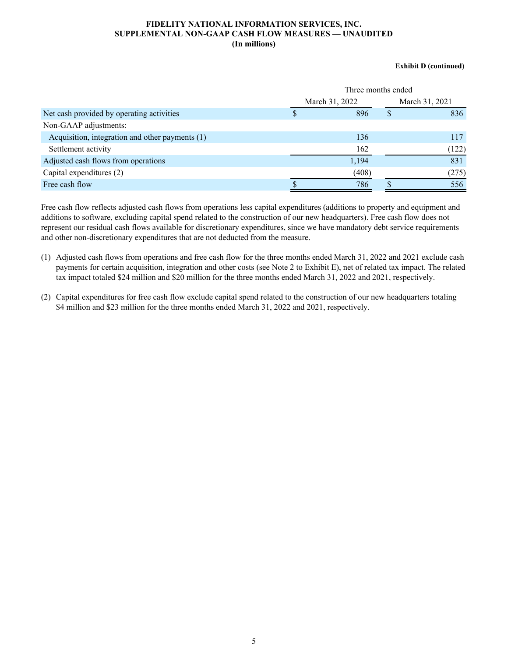#### **FIDELITY NATIONAL INFORMATION SERVICES, INC. SUPPLEMENTAL NON-GAAP CASH FLOW MEASURES — UNAUDITED (In millions)**

#### **Exhibit D (continued)**

|                                                 | Three months ended |  |                |  |  |  |  |  |
|-------------------------------------------------|--------------------|--|----------------|--|--|--|--|--|
|                                                 | March 31, 2022     |  | March 31, 2021 |  |  |  |  |  |
| Net cash provided by operating activities       | 896                |  | 836            |  |  |  |  |  |
| Non-GAAP adjustments:                           |                    |  |                |  |  |  |  |  |
| Acquisition, integration and other payments (1) | 136                |  | 117            |  |  |  |  |  |
| Settlement activity                             | 162                |  | (122)          |  |  |  |  |  |
| Adjusted cash flows from operations             | 1,194              |  | 831            |  |  |  |  |  |
| Capital expenditures (2)                        | (408)              |  | (275)          |  |  |  |  |  |
| Free cash flow                                  | 786                |  | 556            |  |  |  |  |  |

Free cash flow reflects adjusted cash flows from operations less capital expenditures (additions to property and equipment and additions to software, excluding capital spend related to the construction of our new headquarters). Free cash flow does not represent our residual cash flows available for discretionary expenditures, since we have mandatory debt service requirements and other non-discretionary expenditures that are not deducted from the measure.

- (1) Adjusted cash flows from operations and free cash flow for the three months ended March 31, 2022 and 2021 exclude cash payments for certain acquisition, integration and other costs (see Note 2 to Exhibit E), net of related tax impact. The related tax impact totaled \$24 million and \$20 million for the three months ended March 31, 2022 and 2021, respectively.
- (2) Capital expenditures for free cash flow exclude capital spend related to the construction of our new headquarters totaling \$4 million and \$23 million for the three months ended March 31, 2022 and 2021, respectively.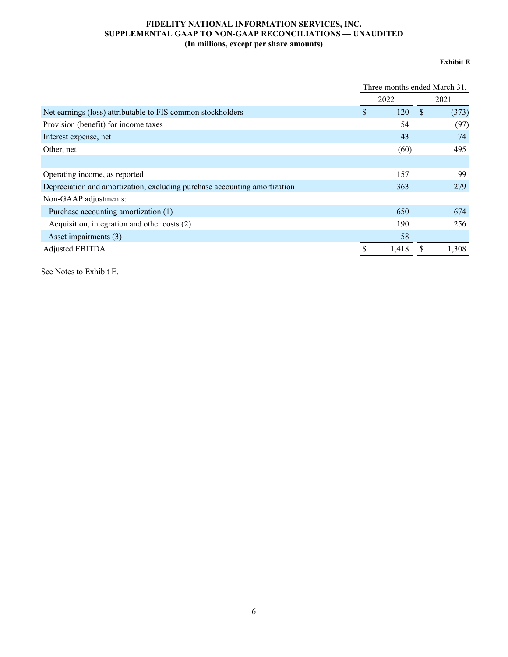# **FIDELITY NATIONAL INFORMATION SERVICES, INC. SUPPLEMENTAL GAAP TO NON-GAAP RECONCILIATIONS — UNAUDITED (In millions, except per share amounts)**

### **Exhibit E**

|                                                                           | Three months ended March 31, |       |               |       |  |  |  |
|---------------------------------------------------------------------------|------------------------------|-------|---------------|-------|--|--|--|
|                                                                           | 2022                         |       |               | 2021  |  |  |  |
| Net earnings (loss) attributable to FIS common stockholders               | S                            | 120   | <sup>\$</sup> | (373) |  |  |  |
| Provision (benefit) for income taxes                                      |                              | 54    |               | (97)  |  |  |  |
| Interest expense, net                                                     |                              | 43    |               | 74    |  |  |  |
| Other, net                                                                |                              | (60)  |               | 495   |  |  |  |
|                                                                           |                              |       |               |       |  |  |  |
| Operating income, as reported                                             |                              | 157   |               | 99    |  |  |  |
| Depreciation and amortization, excluding purchase accounting amortization |                              | 363   |               | 279   |  |  |  |
| Non-GAAP adjustments:                                                     |                              |       |               |       |  |  |  |
| Purchase accounting amortization (1)                                      |                              | 650   |               | 674   |  |  |  |
| Acquisition, integration and other costs (2)                              |                              | 190   |               | 256   |  |  |  |
| Asset impairments (3)                                                     |                              | 58    |               |       |  |  |  |
| <b>Adjusted EBITDA</b>                                                    |                              | 1,418 |               | 1,308 |  |  |  |

See Notes to Exhibit E.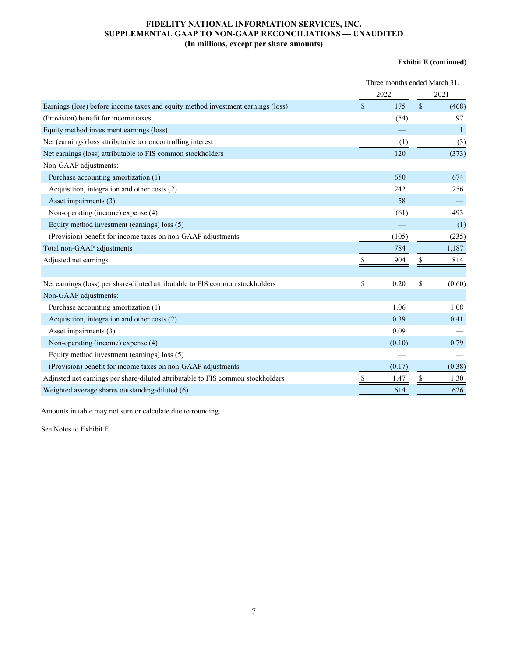# **FIDELITY NATIONAL INFORMATION SERVICES, INC. SUPPLEMENTAL GAAP TO NON-GAAP RECONCILIATIONS — UNAUDITED (In millions, except per share amounts)**

#### **Exhibit E (continued)**

|                                                                                  | Three months ended March 31, |        |              |              |  |  |  |  |  |
|----------------------------------------------------------------------------------|------------------------------|--------|--------------|--------------|--|--|--|--|--|
|                                                                                  | 2022                         | 2021   |              |              |  |  |  |  |  |
| Earnings (loss) before income taxes and equity method investment earnings (loss) |                              | 175    | $\mathbf{s}$ | (468)        |  |  |  |  |  |
| (Provision) benefit for income taxes                                             |                              | (54)   |              | 97           |  |  |  |  |  |
| Equity method investment earnings (loss)                                         |                              |        |              | $\mathbf{1}$ |  |  |  |  |  |
| Net (earnings) loss attributable to noncontrolling interest                      |                              | (1)    |              | (3)          |  |  |  |  |  |
| Net earnings (loss) attributable to FIS common stockholders                      |                              | 120    |              | (373)        |  |  |  |  |  |
| Non-GAAP adjustments:                                                            |                              |        |              |              |  |  |  |  |  |
| Purchase accounting amortization (1)                                             |                              | 650    |              | 674          |  |  |  |  |  |
| Acquisition, integration and other costs (2)                                     |                              | 242    |              | 256          |  |  |  |  |  |
| Asset impairments (3)                                                            |                              | 58     |              |              |  |  |  |  |  |
| Non-operating (income) expense (4)                                               |                              | (61)   |              | 493          |  |  |  |  |  |
| Equity method investment (earnings) loss (5)                                     |                              |        |              | (1)          |  |  |  |  |  |
| (Provision) benefit for income taxes on non-GAAP adjustments                     |                              | (105)  |              | (235)        |  |  |  |  |  |
| Total non-GAAP adjustments                                                       |                              | 784    |              | 1,187        |  |  |  |  |  |
| Adjusted net earnings                                                            |                              | 904    | \$           | 814          |  |  |  |  |  |
|                                                                                  |                              |        |              |              |  |  |  |  |  |
| Net earnings (loss) per share-diluted attributable to FIS common stockholders    | \$                           | 0.20   | \$           | (0.60)       |  |  |  |  |  |
| Non-GAAP adjustments:                                                            |                              |        |              |              |  |  |  |  |  |
| Purchase accounting amortization (1)                                             |                              | 1.06   |              | 1.08         |  |  |  |  |  |
| Acquisition, integration and other costs (2)                                     |                              | 0.39   |              | 0.41         |  |  |  |  |  |
| Asset impairments (3)                                                            |                              | 0.09   |              |              |  |  |  |  |  |
| Non-operating (income) expense (4)                                               |                              | (0.10) |              | 0.79         |  |  |  |  |  |
| Equity method investment (earnings) loss (5)                                     |                              |        |              |              |  |  |  |  |  |
| (Provision) benefit for income taxes on non-GAAP adjustments                     |                              | (0.17) |              | (0.38)       |  |  |  |  |  |
| Adjusted net earnings per share-diluted attributable to FIS common stockholders  | S                            | 1.47   | S            | 1.30         |  |  |  |  |  |
| Weighted average shares outstanding-diluted (6)                                  |                              | 614    |              | 626          |  |  |  |  |  |

Amounts in table may not sum or calculate due to rounding.

See Notes to Exhibit E.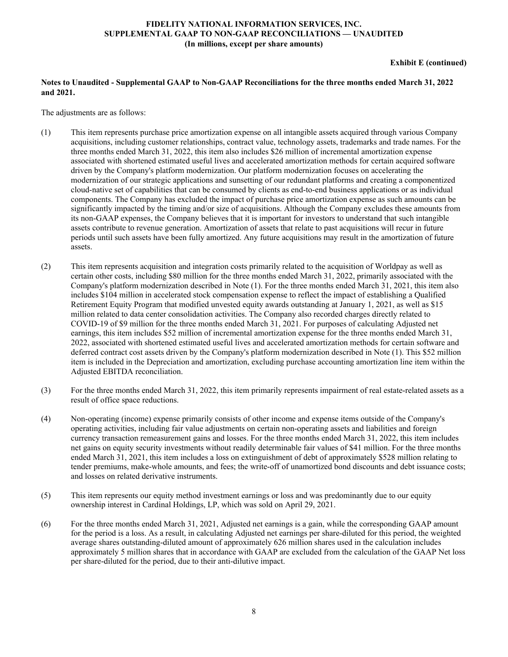#### **FIDELITY NATIONAL INFORMATION SERVICES, INC. SUPPLEMENTAL GAAP TO NON-GAAP RECONCILIATIONS — UNAUDITED (In millions, except per share amounts)**

#### **Exhibit E (continued)**

### **Notes to Unaudited - Supplemental GAAP to Non-GAAP Reconciliations for the three months ended March 31, 2022 and 2021.**

The adjustments are as follows:

- (1) This item represents purchase price amortization expense on all intangible assets acquired through various Company acquisitions, including customer relationships, contract value, technology assets, trademarks and trade names. For the three months ended March 31, 2022, this item also includes \$26 million of incremental amortization expense associated with shortened estimated useful lives and accelerated amortization methods for certain acquired software driven by the Company's platform modernization. Our platform modernization focuses on accelerating the modernization of our strategic applications and sunsetting of our redundant platforms and creating a componentized cloud-native set of capabilities that can be consumed by clients as end-to-end business applications or as individual components. The Company has excluded the impact of purchase price amortization expense as such amounts can be significantly impacted by the timing and/or size of acquisitions. Although the Company excludes these amounts from its non-GAAP expenses, the Company believes that it is important for investors to understand that such intangible assets contribute to revenue generation. Amortization of assets that relate to past acquisitions will recur in future periods until such assets have been fully amortized. Any future acquisitions may result in the amortization of future assets.
- (2) This item represents acquisition and integration costs primarily related to the acquisition of Worldpay as well as certain other costs, including \$80 million for the three months ended March 31, 2022, primarily associated with the Company's platform modernization described in Note (1). For the three months ended March 31, 2021, this item also includes \$104 million in accelerated stock compensation expense to reflect the impact of establishing a Qualified Retirement Equity Program that modified unvested equity awards outstanding at January 1, 2021, as well as \$15 million related to data center consolidation activities. The Company also recorded charges directly related to COVID-19 of \$9 million for the three months ended March 31, 2021. For purposes of calculating Adjusted net earnings, this item includes \$52 million of incremental amortization expense for the three months ended March 31, 2022, associated with shortened estimated useful lives and accelerated amortization methods for certain software and deferred contract cost assets driven by the Company's platform modernization described in Note (1). This \$52 million item is included in the Depreciation and amortization, excluding purchase accounting amortization line item within the Adjusted EBITDA reconciliation.
- (3) For the three months ended March 31, 2022, this item primarily represents impairment of real estate-related assets as a result of office space reductions.
- (4) Non-operating (income) expense primarily consists of other income and expense items outside of the Company's operating activities, including fair value adjustments on certain non-operating assets and liabilities and foreign currency transaction remeasurement gains and losses. For the three months ended March 31, 2022, this item includes net gains on equity security investments without readily determinable fair values of \$41 million. For the three months ended March 31, 2021, this item includes a loss on extinguishment of debt of approximately \$528 million relating to tender premiums, make-whole amounts, and fees; the write-off of unamortized bond discounts and debt issuance costs; and losses on related derivative instruments.
- (5) This item represents our equity method investment earnings or loss and was predominantly due to our equity ownership interest in Cardinal Holdings, LP, which was sold on April 29, 2021.
- (6) For the three months ended March 31, 2021, Adjusted net earnings is a gain, while the corresponding GAAP amount for the period is a loss. As a result, in calculating Adjusted net earnings per share-diluted for this period, the weighted average shares outstanding-diluted amount of approximately 626 million shares used in the calculation includes approximately 5 million shares that in accordance with GAAP are excluded from the calculation of the GAAP Net loss per share-diluted for the period, due to their anti-dilutive impact.